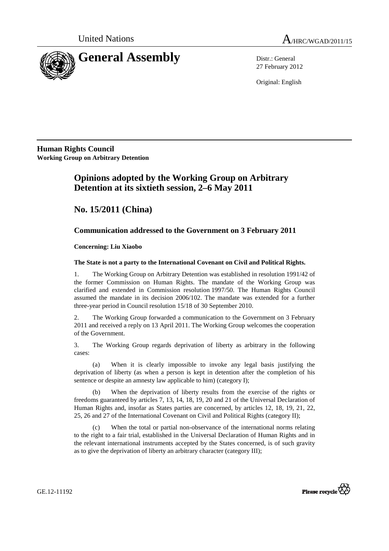

27 February 2012

Original: English

**Human Rights Council Working Group on Arbitrary Detention**

# **Opinions adopted by the Working Group on Arbitrary Detention at its sixtieth session, 2–6 May 2011**

 **No. 15/2011 (China)** 

## **Communication addressed to the Government on 3 February 2011**

## **Concerning: Liu Xiaobo**

## **The State is not a party to the International Covenant on Civil and Political Rights.**

1. The Working Group on Arbitrary Detention was established in resolution 1991/42 of the former Commission on Human Rights. The mandate of the Working Group was clarified and extended in Commission resolution 1997/50. The Human Rights Council assumed the mandate in its decision 2006/102. The mandate was extended for a further three-year period in Council resolution 15/18 of 30 September 2010.

2. The Working Group forwarded a communication to the Government on 3 February 2011 and received a reply on 13 April 2011. The Working Group welcomes the cooperation of the Government.

3. The Working Group regards deprivation of liberty as arbitrary in the following cases:

(a) When it is clearly impossible to invoke any legal basis justifying the deprivation of liberty (as when a person is kept in detention after the completion of his sentence or despite an amnesty law applicable to him) (category I);

(b) When the deprivation of liberty results from the exercise of the rights or freedoms guaranteed by articles 7, 13, 14, 18, 19, 20 and 21 of the Universal Declaration of Human Rights and, insofar as States parties are concerned, by articles 12, 18, 19, 21, 22, 25, 26 and 27 of the International Covenant on Civil and Political Rights (category II);

(c) When the total or partial non-observance of the international norms relating to the right to a fair trial, established in the Universal Declaration of Human Rights and in the relevant international instruments accepted by the States concerned, is of such gravity as to give the deprivation of liberty an arbitrary character (category III);



GE.12-11192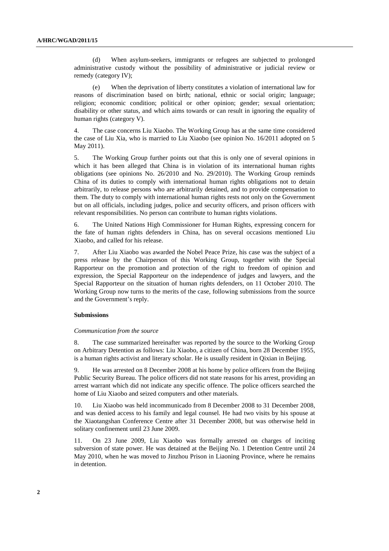(d) When asylum-seekers, immigrants or refugees are subjected to prolonged administrative custody without the possibility of administrative or judicial review or remedy (category IV);

(e) When the deprivation of liberty constitutes a violation of international law for reasons of discrimination based on birth; national, ethnic or social origin; language; religion; economic condition; political or other opinion; gender; sexual orientation; disability or other status, and which aims towards or can result in ignoring the equality of human rights (category V).

4. The case concerns Liu Xiaobo. The Working Group has at the same time considered the case of Liu Xia, who is married to Liu Xiaobo (see opinion No. 16/2011 adopted on 5 May 2011).

5. The Working Group further points out that this is only one of several opinions in which it has been alleged that China is in violation of its international human rights obligations (see opinions No. 26/2010 and No. 29/2010). The Working Group reminds China of its duties to comply with international human rights obligations not to detain arbitrarily, to release persons who are arbitrarily detained, and to provide compensation to them. The duty to comply with international human rights rests not only on the Government but on all officials, including judges, police and security officers, and prison officers with relevant responsibilities. No person can contribute to human rights violations.

6. The United Nations High Commissioner for Human Rights, expressing concern for the fate of human rights defenders in China, has on several occasions mentioned Liu Xiaobo, and called for his release.

7. After Liu Xiaobo was awarded the Nobel Peace Prize, his case was the subject of a press release by the Chairperson of this Working Group, together with the Special Rapporteur on the promotion and protection of the right to freedom of opinion and expression, the Special Rapporteur on the independence of judges and lawyers, and the Special Rapporteur on the situation of human rights defenders, on 11 October 2010. The Working Group now turns to the merits of the case, following submissions from the source and the Government's reply.

### **Submissions**

#### *Communication from the source*

8. The case summarized hereinafter was reported by the source to the Working Group on Arbitrary Detention as follows: Liu Xiaobo, a citizen of China, born 28 December 1955, is a human rights activist and literary scholar. He is usually resident in Qixian in Beijing.

9. He was arrested on 8 December 2008 at his home by police officers from the Beijing Public Security Bureau. The police officers did not state reasons for his arrest, providing an arrest warrant which did not indicate any specific offence. The police officers searched the home of Liu Xiaobo and seized computers and other materials.

10. Liu Xiaobo was held incommunicado from 8 December 2008 to 31 December 2008, and was denied access to his family and legal counsel. He had two visits by his spouse at the Xiaotangshan Conference Centre after 31 December 2008, but was otherwise held in solitary confinement until 23 June 2009.

11. On 23 June 2009, Liu Xiaobo was formally arrested on charges of inciting subversion of state power. He was detained at the Beijing No. 1 Detention Centre until 24 May 2010, when he was moved to Jinzhou Prison in Liaoning Province, where he remains in detention.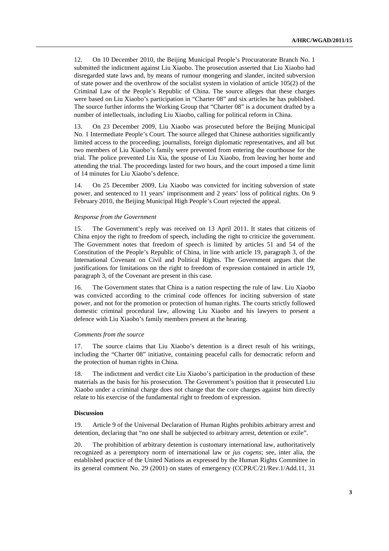12. On 10 December 2010, the Beijing Municipal People's Procuratorate Branch No. 1 submitted the indictment against Liu Xiaobo. The prosecution asserted that Liu Xiaobo had disregarded state laws and, by means of rumour mongering and slander, incited subversion of state power and the overthrow of the socialist system in violation of article 105(2) of the Criminal Law of the People's Republic of China. The source alleges that these charges were based on Liu Xiaobo's participation in "Charter 08" and six articles he has published. The source further informs the Working Group that "Charter 08" is a document drafted by a number of intellectuals, including Liu Xiaobo, calling for political reform in China.

13. On 23 December 2009, Liu Xiaobo was prosecuted before the Beijing Municipal No. 1 Intermediate People's Court. The source alleged that Chinese authorities significantly limited access to the proceeding; journalists, foreign diplomatic representatives, and all but two members of Liu Xiaobo's family were prevented from entering the courthouse for the trial. The police prevented Liu Xia, the spouse of Liu Xiaobo, from leaving her home and attending the trial. The proceedings lasted for two hours, and the court imposed a time limit of 14 minutes for Liu Xiaobo's defence.

14. On 25 December 2009, Liu Xiaobo was convicted for inciting subversion of state power, and sentenced to 11 years' imprisonment and 2 years' loss of political rights. On 9 February 2010, the Beijing Municipal High People's Court rejected the appeal.

#### *Response from the Government*

15. The Government's reply was received on 13 April 2011. It states that citizens of China enjoy the right to freedom of speech, including the right to criticize the government. The Government notes that freedom of speech is limited by articles 51 and 54 of the Constitution of the People's Republic of China, in line with article 19, paragraph 3, of the International Covenant on Civil and Political Rights. The Government argues that the justifications for limitations on the right to freedom of expression contained in article 19, paragraph 3, of the Covenant are present in this case.

16. The Government states that China is a nation respecting the rule of law. Liu Xiaobo was convicted according to the criminal code offences for inciting subversion of state power, and not for the promotion or protection of human rights. The courts strictly followed domestic criminal procedural law, allowing Liu Xiaobo and his lawyers to present a defence with Liu Xiaobo's family members present at the hearing.

#### *Comments from the source*

17. The source claims that Liu Xiaobo's detention is a direct result of his writings, including the "Charter 08" initiative, containing peaceful calls for democratic reform and the protection of human rights in China.

18. The indictment and verdict cite Liu Xiaobo's participation in the production of these materials as the basis for his prosecution. The Government's position that it prosecuted Liu Xiaobo under a criminal charge does not change that the core charges against him directly relate to his exercise of the fundamental right to freedom of expression.

#### **Discussion**

19. Article 9 of the Universal Declaration of Human Rights prohibits arbitrary arrest and detention, declaring that "no one shall be subjected to arbitrary arrest, detention or exile".

20. The prohibition of arbitrary detention is customary international law, authoritatively recognized as a peremptory norm of international law or *jus cogens*; see, inter alia, the established practice of the United Nations as expressed by the Human Rights Committee in its general comment No. 29 (2001) on states of emergency (CCPR/C/21/Rev.1/Add.11, 31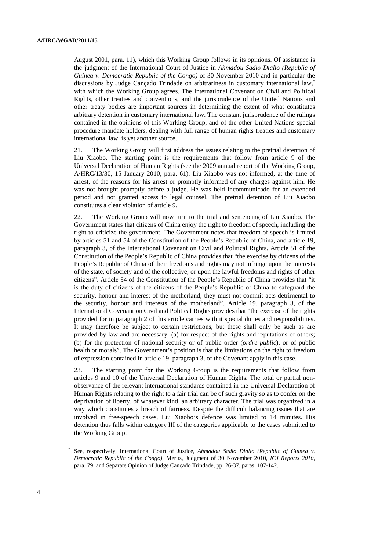August 2001, para. 11), which this Working Group follows in its opinions. Of assistance is the judgment of the International Court of Justice in *Ahmadou Sadio Diallo (Republic of Guinea v. Democratic Republic of the Congo)* of 30 November 2010 and in particular the discussions by Judge Cançado Trindade on arbitrariness in customary international law,\* with which the Working Group agrees. The International Covenant on Civil and Political Rights, other treaties and conventions, and the jurisprudence of the United Nations and other treaty bodies are important sources in determining the extent of what constitutes arbitrary detention in customary international law. The constant jurisprudence of the rulings contained in the opinions of this Working Group, and of the other United Nations special procedure mandate holders, dealing with full range of human rights treaties and customary international law, is yet another source.

21. The Working Group will first address the issues relating to the pretrial detention of Liu Xiaobo. The starting point is the requirements that follow from article 9 of the Universal Declaration of Human Rights (see the 2009 annual report of the Working Group, A/HRC/13/30, 15 January 2010, para. 61). Liu Xiaobo was not informed, at the time of arrest, of the reasons for his arrest or promptly informed of any charges against him. He was not brought promptly before a judge. He was held incommunicado for an extended period and not granted access to legal counsel. The pretrial detention of Liu Xiaobo constitutes a clear violation of article 9.

22. The Working Group will now turn to the trial and sentencing of Liu Xiaobo. The Government states that citizens of China enjoy the right to freedom of speech, including the right to criticize the government. The Government notes that freedom of speech is limited by articles 51 and 54 of the Constitution of the People's Republic of China, and article 19, paragraph 3, of the International Covenant on Civil and Political Rights. Article 51 of the Constitution of the People's Republic of China provides that "the exercise by citizens of the People's Republic of China of their freedoms and rights may not infringe upon the interests of the state, of society and of the collective, or upon the lawful freedoms and rights of other citizens". Article 54 of the Constitution of the People's Republic of China provides that "it is the duty of citizens of the citizens of the People's Republic of China to safeguard the security, honour and interest of the motherland; they must not commit acts detrimental to the security, honour and interests of the motherland". Article 19, paragraph 3, of the International Covenant on Civil and Political Rights provides that "the exercise of the rights provided for in paragraph 2 of this article carries with it special duties and responsibilities. It may therefore be subject to certain restrictions, but these shall only be such as are provided by law and are necessary: (a) for respect of the rights and reputations of others; (b) for the protection of national security or of public order (*ordre public*), or of public health or morals". The Government's position is that the limitations on the right to freedom of expression contained in article 19, paragraph 3, of the Covenant apply in this case.

23. The starting point for the Working Group is the requirements that follow from articles 9 and 10 of the Universal Declaration of Human Rights. The total or partial nonobservance of the relevant international standards contained in the Universal Declaration of Human Rights relating to the right to a fair trial can be of such gravity so as to confer on the deprivation of liberty, of whatever kind, an arbitrary character. The trial was organized in a way which constitutes a breach of fairness. Despite the difficult balancing issues that are involved in free-speech cases, Liu Xiaobo's defence was limited to 14 minutes. His detention thus falls within category III of the categories applicable to the cases submitted to the Working Group.

 $\overline{a}$ 

<sup>\*</sup> See, respectively, International Court of Justice, *Ahmadou Sadio Diallo (Republic of Guinea v. Democratic Republic of the Congo)*, Merits, Judgment of 30 November 2010, *ICJ Reports 2010*, para. 79; and Separate Opinion of Judge Cançado Trindade, pp. 26-37, paras. 107-142.